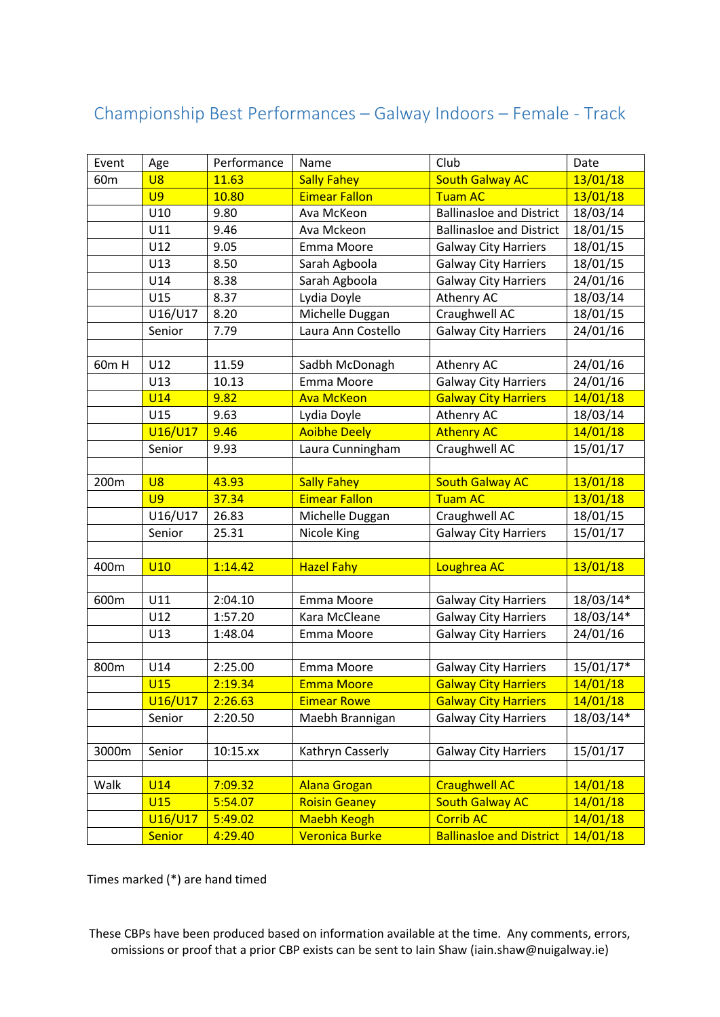## Championship Best Performances – Galway Indoors – Female - Track

| Event           | Age            | Performance | Name                  | Club                            | Date      |
|-----------------|----------------|-------------|-----------------------|---------------------------------|-----------|
| 60 <sub>m</sub> | <b>U8</b>      | 11.63       | <b>Sally Fahey</b>    | <b>South Galway AC</b>          | 13/01/18  |
|                 | U <sub>9</sub> | 10.80       | <b>Eimear Fallon</b>  | <b>Tuam AC</b>                  | 13/01/18  |
|                 | U10            | 9.80        | Ava McKeon            | <b>Ballinasloe and District</b> | 18/03/14  |
|                 | U11            | 9.46        | Ava Mckeon            | <b>Ballinasloe and District</b> | 18/01/15  |
|                 | U12            | 9.05        | Emma Moore            | <b>Galway City Harriers</b>     | 18/01/15  |
|                 | U13            | 8.50        | Sarah Agboola         | <b>Galway City Harriers</b>     | 18/01/15  |
|                 | U14            | 8.38        | Sarah Agboola         | <b>Galway City Harriers</b>     | 24/01/16  |
|                 | U15            | 8.37        | Lydia Doyle           | Athenry AC                      | 18/03/14  |
|                 | U16/U17        | 8.20        | Michelle Duggan       | Craughwell AC                   | 18/01/15  |
|                 | Senior         | 7.79        | Laura Ann Costello    | <b>Galway City Harriers</b>     | 24/01/16  |
|                 |                |             |                       |                                 |           |
| 60m H           | U12            | 11.59       | Sadbh McDonagh        | Athenry AC                      | 24/01/16  |
|                 | U13            | 10.13       | Emma Moore            | <b>Galway City Harriers</b>     | 24/01/16  |
|                 | <b>U14</b>     | 9.82        | <b>Ava McKeon</b>     | <b>Galway City Harriers</b>     | 14/01/18  |
|                 | U15            | 9.63        | Lydia Doyle           | Athenry AC                      | 18/03/14  |
|                 | U16/U17        | 9.46        | <b>Aoibhe Deely</b>   | <b>Athenry AC</b>               | 14/01/18  |
|                 | Senior         | 9.93        | Laura Cunningham      | Craughwell AC                   | 15/01/17  |
|                 |                |             |                       |                                 |           |
| 200m            | U8             | 43.93       | <b>Sally Fahey</b>    | <b>South Galway AC</b>          | 13/01/18  |
|                 | U <sub>9</sub> | 37.34       | <b>Eimear Fallon</b>  | <b>Tuam AC</b>                  | 13/01/18  |
|                 | U16/U17        | 26.83       | Michelle Duggan       | Craughwell AC                   | 18/01/15  |
|                 | Senior         | 25.31       | Nicole King           | <b>Galway City Harriers</b>     | 15/01/17  |
|                 |                |             |                       |                                 |           |
| 400m            | U10            | 1:14.42     | <b>Hazel Fahy</b>     | Loughrea AC                     | 13/01/18  |
|                 |                |             |                       |                                 |           |
| 600m            | U11            | 2:04.10     | Emma Moore            | <b>Galway City Harriers</b>     | 18/03/14* |
|                 | U12            | 1:57.20     | Kara McCleane         | <b>Galway City Harriers</b>     | 18/03/14* |
|                 | U13            | 1:48.04     | Emma Moore            | <b>Galway City Harriers</b>     | 24/01/16  |
|                 |                |             |                       |                                 |           |
| 800m            | U14            | 2:25.00     | Emma Moore            | <b>Galway City Harriers</b>     | 15/01/17* |
|                 | U15            | 2:19.34     | <b>Emma Moore</b>     | <b>Galway City Harriers</b>     | 14/01/18  |
|                 | U16/U17        | 2:26.63     | <b>Eimear Rowe</b>    | <b>Galway City Harriers</b>     | 14/01/18  |
|                 | Senior         | 2:20.50     | Maebh Brannigan       | <b>Galway City Harriers</b>     | 18/03/14* |
|                 |                |             |                       |                                 |           |
| 3000m           | Senior         | 10:15.xx    | Kathryn Casserly      | <b>Galway City Harriers</b>     | 15/01/17  |
|                 |                |             |                       |                                 |           |
| Walk            | <b>U14</b>     | 7:09.32     | <b>Alana Grogan</b>   | <b>Craughwell AC</b>            | 14/01/18  |
|                 | U15            | 5:54.07     | <b>Roisin Geaney</b>  | <b>South Galway AC</b>          | 14/01/18  |
|                 | U16/U17        | 5:49.02     | <b>Maebh Keogh</b>    | <b>Corrib AC</b>                | 14/01/18  |
|                 | Senior         | 4:29.40     | <b>Veronica Burke</b> | <b>Ballinasloe and District</b> | 14/01/18  |

Times marked (\*) are hand timed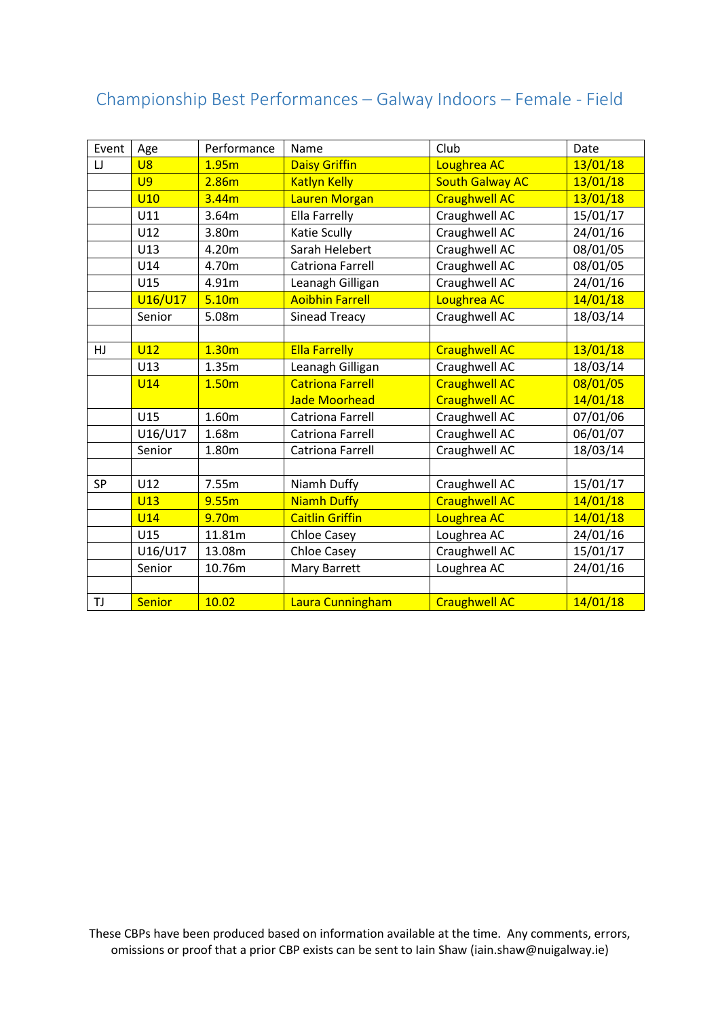## Championship Best Performances – Galway Indoors – Female - Field

| Event     | Age            | Performance       | Name                    | Club                   | Date     |
|-----------|----------------|-------------------|-------------------------|------------------------|----------|
| IJ        | U8             | 1.95m             | <b>Daisy Griffin</b>    | Loughrea AC            | 13/01/18 |
|           | U <sub>9</sub> | 2.86m             | <b>Katlyn Kelly</b>     | <b>South Galway AC</b> | 13/01/18 |
|           | <b>U10</b>     | 3.44m             | Lauren Morgan           | <b>Craughwell AC</b>   | 13/01/18 |
|           | U11            | 3.64m             | Ella Farrelly           | Craughwell AC          | 15/01/17 |
|           | U12            | 3.80m             | Katie Scully            | Craughwell AC          | 24/01/16 |
|           | U13            | 4.20m             | Sarah Helebert          | Craughwell AC          | 08/01/05 |
|           | U14            | 4.70m             | Catriona Farrell        | Craughwell AC          | 08/01/05 |
|           | U15            | 4.91m             | Leanagh Gilligan        | Craughwell AC          | 24/01/16 |
|           | U16/U17        | 5.10 <sub>m</sub> | <b>Aoibhin Farrell</b>  | Loughrea AC            | 14/01/18 |
|           | Senior         | 5.08m             | <b>Sinead Treacy</b>    | Craughwell AC          | 18/03/14 |
|           |                |                   |                         |                        |          |
| HJ.       | U12            | 1.30 <sub>m</sub> | <b>Ella Farrelly</b>    | <b>Craughwell AC</b>   | 13/01/18 |
|           | U13            | 1.35m             | Leanagh Gilligan        | Craughwell AC          | 18/03/14 |
|           | <b>U14</b>     | 1.50 <sub>m</sub> | <b>Catriona Farrell</b> | <b>Craughwell AC</b>   | 08/01/05 |
|           |                |                   | <b>Jade Moorhead</b>    | <b>Craughwell AC</b>   | 14/01/18 |
|           | U15            | 1.60m             | <b>Catriona Farrell</b> | Craughwell AC          | 07/01/06 |
|           | U16/U17        | 1.68m             | Catriona Farrell        | Craughwell AC          | 06/01/07 |
|           | Senior         | 1.80m             | <b>Catriona Farrell</b> | Craughwell AC          | 18/03/14 |
|           |                |                   |                         |                        |          |
| <b>SP</b> | U12            | 7.55m             | Niamh Duffy             | Craughwell AC          | 15/01/17 |
|           | <b>U13</b>     | 9.55m             | <b>Niamh Duffy</b>      | <b>Craughwell AC</b>   | 14/01/18 |
|           | <b>U14</b>     | 9.70m             | <b>Caitlin Griffin</b>  | Loughrea AC            | 14/01/18 |
|           | U15            | 11.81m            | <b>Chloe Casey</b>      | Loughrea AC            | 24/01/16 |
|           | U16/U17        | 13.08m            | <b>Chloe Casey</b>      | Craughwell AC          | 15/01/17 |
|           | Senior         | 10.76m            | Mary Barrett            | Loughrea AC            | 24/01/16 |
|           |                |                   |                         |                        |          |
| TJ        | <b>Senior</b>  | 10.02             | Laura Cunningham        | Craughwell AC          | 14/01/18 |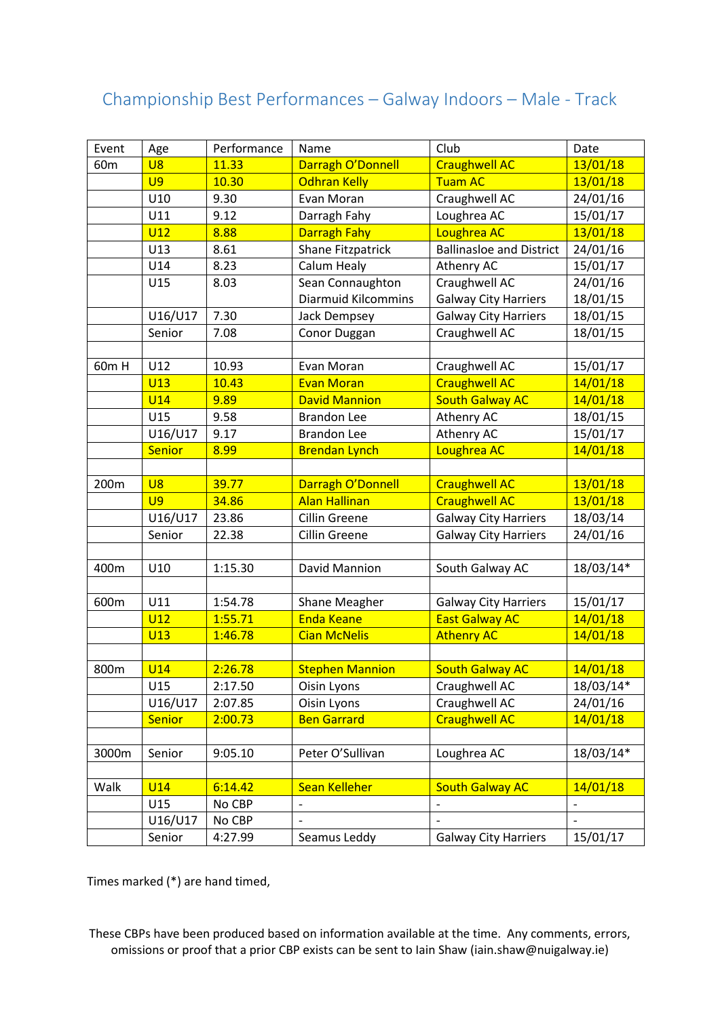## Championship Best Performances – Galway Indoors – Male - Track

| Event           | Age             | Performance | Name                       | Club                            | Date           |
|-----------------|-----------------|-------------|----------------------------|---------------------------------|----------------|
| 60 <sub>m</sub> | <b>U8</b>       | 11.33       | Darragh O'Donnell          | <b>Craughwell AC</b>            | 13/01/18       |
|                 | U <sub>9</sub>  | 10.30       | <b>Odhran Kelly</b>        | <b>Tuam AC</b>                  | 13/01/18       |
|                 | U10             | 9.30        | Evan Moran                 | Craughwell AC                   | 24/01/16       |
|                 | U11             | 9.12        | Darragh Fahy               | Loughrea AC                     | 15/01/17       |
|                 | U12             | 8.88        | <b>Darragh Fahy</b>        | Loughrea AC                     | 13/01/18       |
|                 | U13             | 8.61        | Shane Fitzpatrick          | <b>Ballinasloe and District</b> | 24/01/16       |
|                 | U14             | 8.23        | Calum Healy                | Athenry AC                      | 15/01/17       |
|                 | U15             | 8.03        | Sean Connaughton           | Craughwell AC                   | 24/01/16       |
|                 |                 |             | <b>Diarmuid Kilcommins</b> | <b>Galway City Harriers</b>     | 18/01/15       |
|                 | U16/U17         | 7.30        | Jack Dempsey               | <b>Galway City Harriers</b>     | 18/01/15       |
|                 | Senior          | 7.08        | Conor Duggan               | Craughwell AC                   | 18/01/15       |
|                 |                 |             |                            |                                 |                |
| 60m H           | U12             | 10.93       | Evan Moran                 | Craughwell AC                   | 15/01/17       |
|                 | <b>U13</b>      | 10.43       | <b>Evan Moran</b>          | <b>Craughwell AC</b>            | 14/01/18       |
|                 | <b>U14</b>      | 9.89        | <b>David Mannion</b>       | <b>South Galway AC</b>          | 14/01/18       |
|                 | U15             | 9.58        | <b>Brandon Lee</b>         | Athenry AC                      | 18/01/15       |
|                 | U16/U17         | 9.17        | <b>Brandon Lee</b>         | Athenry AC                      | 15/01/17       |
|                 | Senior          | 8.99        | <b>Brendan Lynch</b>       | Loughrea AC                     | 14/01/18       |
|                 |                 |             |                            |                                 |                |
| 200m            | U8              | 39.77       | Darragh O'Donnell          | <b>Craughwell AC</b>            | 13/01/18       |
|                 | U <sub>9</sub>  | 34.86       | <b>Alan Hallinan</b>       | <b>Craughwell AC</b>            | 13/01/18       |
|                 | U16/U17         | 23.86       | Cillin Greene              | <b>Galway City Harriers</b>     | 18/03/14       |
|                 | Senior          | 22.38       | Cillin Greene              | <b>Galway City Harriers</b>     | 24/01/16       |
|                 |                 |             |                            |                                 |                |
| 400m            | U10             | 1:15.30     | David Mannion              | South Galway AC                 | 18/03/14*      |
|                 |                 |             |                            |                                 |                |
| 600m            | U11             | 1:54.78     | Shane Meagher              | <b>Galway City Harriers</b>     | 15/01/17       |
|                 | U12             | 1:55.71     | <b>Enda Keane</b>          | <b>East Galway AC</b>           | 14/01/18       |
|                 | U13             | 1:46.78     | <b>Cian McNelis</b>        | <b>Athenry AC</b>               | 14/01/18       |
|                 |                 |             |                            |                                 |                |
| 800m            | <b>U14</b>      | 2:26.78     | <b>Stephen Mannion</b>     | <b>South Galway AC</b>          | 14/01/18       |
|                 | U15             | 2:17.50     | Oisin Lyons                | Craughwell AC                   | 18/03/14*      |
|                 | U16/U17         | 2:07.85     | Oisin Lyons                | Craughwell AC                   | 24/01/16       |
|                 | <b>Senior</b>   | 2:00.73     | <b>Ben Garrard</b>         | <b>Craughwell AC</b>            | 14/01/18       |
|                 |                 |             |                            |                                 |                |
| 3000m           | Senior          | 9:05.10     | Peter O'Sullivan           | Loughrea AC                     | 18/03/14*      |
|                 |                 |             |                            |                                 |                |
| Walk            | U <sub>14</sub> | 6:14.42     | <b>Sean Kelleher</b>       | <b>South Galway AC</b>          | 14/01/18       |
|                 | U15             | No CBP      | $\overline{\phantom{a}}$   | $\overline{\phantom{0}}$        | $\overline{a}$ |
|                 | U16/U17         | No CBP      |                            |                                 |                |
|                 | Senior          | 4:27.99     | Seamus Leddy               | <b>Galway City Harriers</b>     | 15/01/17       |

Times marked (\*) are hand timed,